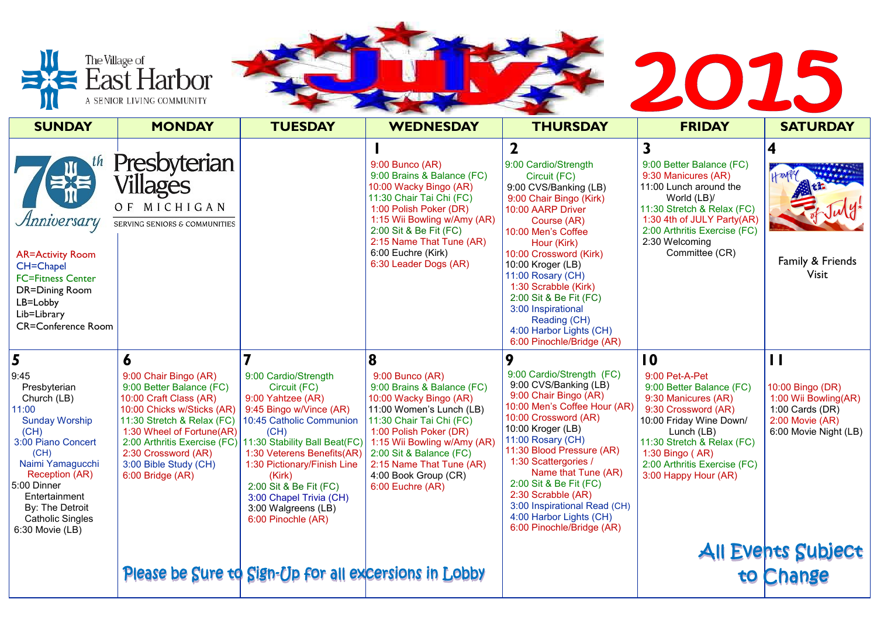

|                                                                                                                                                                                                                                                         | The Village of<br>East Harbor<br>A SENIOR LIVING COMMUNITY                                                                                                                                                                                                               |                                                                                                                                                                                                                                                                                                                                    |                                                                                                                                                                                                                                                                                                    |                                                                                                                                                                                                                                                                                                                                                                                                   | 2015                                                                                                                                                                                                                                                |                                                                                                                                        |
|---------------------------------------------------------------------------------------------------------------------------------------------------------------------------------------------------------------------------------------------------------|--------------------------------------------------------------------------------------------------------------------------------------------------------------------------------------------------------------------------------------------------------------------------|------------------------------------------------------------------------------------------------------------------------------------------------------------------------------------------------------------------------------------------------------------------------------------------------------------------------------------|----------------------------------------------------------------------------------------------------------------------------------------------------------------------------------------------------------------------------------------------------------------------------------------------------|---------------------------------------------------------------------------------------------------------------------------------------------------------------------------------------------------------------------------------------------------------------------------------------------------------------------------------------------------------------------------------------------------|-----------------------------------------------------------------------------------------------------------------------------------------------------------------------------------------------------------------------------------------------------|----------------------------------------------------------------------------------------------------------------------------------------|
| <b>SUNDAY</b>                                                                                                                                                                                                                                           | <b>MONDAY</b>                                                                                                                                                                                                                                                            | <b>TUESDAY</b>                                                                                                                                                                                                                                                                                                                     | <b>WEDNESDAY</b>                                                                                                                                                                                                                                                                                   | <b>THURSDAY</b>                                                                                                                                                                                                                                                                                                                                                                                   | <b>FRIDAY</b>                                                                                                                                                                                                                                       | <b>SATURDAY</b>                                                                                                                        |
| Anniversary<br><b>AR=Activity Room</b><br><b>CH=Chapel</b><br><b>FC=Fitness Center</b><br><b>DR=Dining Room</b><br>LB=Lobby<br>Lib=Library<br><b>CR=Conference Room</b>                                                                                 | Presbyterian<br>villages<br>OF MICHIGAN<br>SERVING SENIORS & COMMUNITIES                                                                                                                                                                                                 |                                                                                                                                                                                                                                                                                                                                    | $9:00$ Bunco (AR)<br>9:00 Brains & Balance (FC)<br>10:00 Wacky Bingo (AR)<br>11:30 Chair Tai Chi (FC)<br>1:00 Polish Poker (DR)<br>1:15 Wii Bowling w/Amy (AR)<br>2:00 Sit & Be Fit (FC)<br>2:15 Name That Tune (AR)<br>6:00 Euchre (Kirk)<br>6:30 Leader Dogs (AR)                                | 9:00 Cardio/Strength<br>Circuit (FC)<br>9:00 CVS/Banking (LB)<br>9:00 Chair Bingo (Kirk)<br>10:00 AARP Driver<br>Course (AR)<br>10:00 Men's Coffee<br>Hour (Kirk)<br>10:00 Crossword (Kirk)<br>10:00 Kroger (LB)<br>11:00 Rosary (CH)<br>1:30 Scrabble (Kirk)<br>2:00 Sit & Be Fit (FC)<br>3:00 Inspirational<br>Reading (CH)<br>4:00 Harbor Lights (CH)<br>6:00 Pinochle/Bridge (AR)             | $\overline{\mathbf{3}}$<br>9:00 Better Balance (FC)<br>9:30 Manicures (AR)<br>11:00 Lunch around the<br>World (LB)/<br>11:30 Stretch & Relax (FC)<br>1:30 4th of JULY Party(AR)<br>2:00 Arthritis Exercise (FC)<br>2:30 Welcoming<br>Committee (CR) | Family & Friends<br>Visit                                                                                                              |
| 5<br>9:45<br>Presbyterian<br>Church (LB)<br>11:00<br><b>Sunday Worship</b><br>(CH)<br>3:00 Piano Concert<br>(CH)<br>Naimi Yamagucchi<br>Reception (AR)<br>5:00 Dinner<br>Entertainment<br>By: The Detroit<br><b>Catholic Singles</b><br>6:30 Movie (LB) | 9:00 Chair Bingo (AR)<br>9:00 Better Balance (FC)<br>10:00 Craft Class (AR)<br>10:00 Chicks w/Sticks (AR)<br>11:30 Stretch & Relax (FC)<br>1:30 Wheel of Fortune(AR)<br>2:00 Arthritis Exercise (FC)<br>2:30 Crossword (AR)<br>3:00 Bible Study (CH)<br>6:00 Bridge (AR) | 9:00 Cardio/Strength<br>Circuit (FC)<br>9:00 Yahtzee (AR)<br>9:45 Bingo w/Vince (AR)<br>10:45 Catholic Communion<br>(CH)<br>11:30 Stability Ball Beat(FC)<br>1:30 Veterens Benefits(AR)<br>1:30 Pictionary/Finish Line<br>(Kirk)<br>2:00 Sit & Be Fit (FC)<br>3:00 Chapel Trivia (CH)<br>3:00 Walgreens (LB)<br>6:00 Pinochle (AR) | 8<br>$9:00$ Bunco (AR)<br>9:00 Brains & Balance (FC)<br>10:00 Wacky Bingo (AR)<br>11:00 Women's Lunch (LB)<br>11:30 Chair Tai Chi (FC)<br>1:00 Polish Poker (DR)<br>1:15 Wii Bowling w/Amy (AR)<br>2:00 Sit & Balance (FC)<br>2:15 Name That Tune (AR)<br>4:00 Book Group (CR)<br>6:00 Euchre (AR) | 9:00 Cardio/Strength (FC)<br>9:00 CVS/Banking (LB)<br>9:00 Chair Bingo (AR)<br>10:00 Men's Coffee Hour (AR)<br>10:00 Crossword (AR)<br>10:00 Kroger (LB)<br>11:00 Rosary (CH)<br>11:30 Blood Pressure (AR)<br>1:30 Scattergories /<br>Name that Tune (AR)<br>2:00 Sit & Be Fit (FC)<br>2:30 Scrabble (AR)<br>3:00 Inspirational Read (CH)<br>4:00 Harbor Lights (CH)<br>6:00 Pinochle/Bridge (AR) | 10<br>9:00 Pet-A-Pet<br>9:00 Better Balance (FC)<br>9:30 Manicures (AR)<br>9:30 Crossword (AR)<br>10:00 Friday Wine Down/<br>Lunch (LB)<br>11:30 Stretch & Relax (FC)<br>1:30 Bingo (AR)<br>2:00 Arthritis Exercise (FC)<br>3:00 Happy Hour (AR)    | $\mathbf{\mathbf{I}}$<br>10:00 Bingo (DR)<br>1:00 Wii Bowling(AR)<br>1:00 Cards $(DR)$<br>$2:00$ Movie $(AR)$<br>6:00 Movie Night (LB) |
|                                                                                                                                                                                                                                                         |                                                                                                                                                                                                                                                                          | Please be Sure to Sign-Up for all excersions in Lobby                                                                                                                                                                                                                                                                              |                                                                                                                                                                                                                                                                                                    |                                                                                                                                                                                                                                                                                                                                                                                                   |                                                                                                                                                                                                                                                     | All Events Subject<br>to Change                                                                                                        |